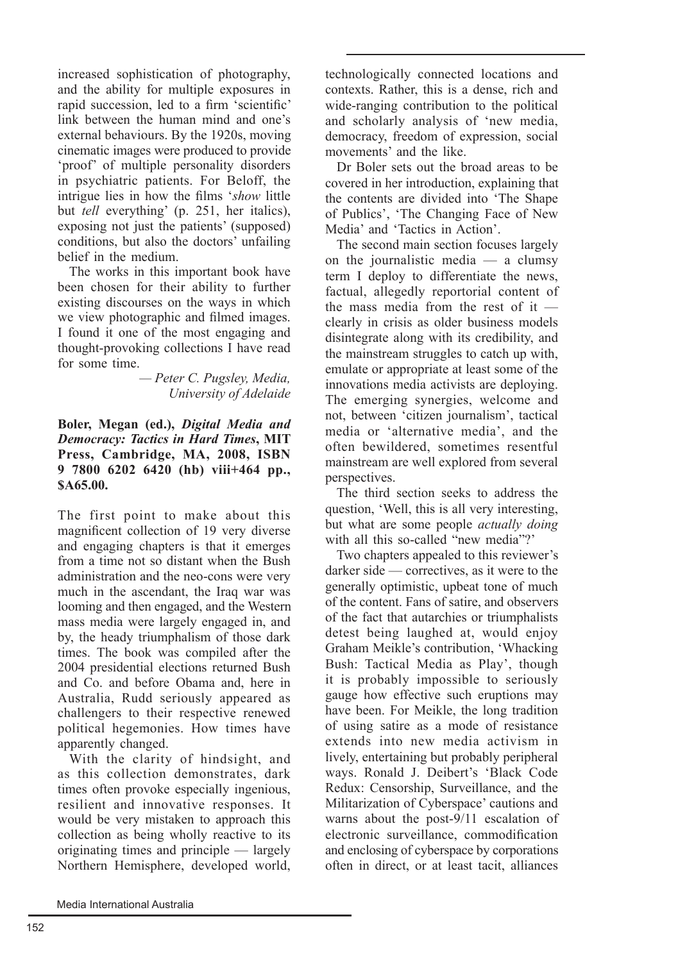increased sophistication of photography. and the ability for multiple exposures in rapid succession, led to a firm 'scientific' link between the human mind and one's external behaviours. By the 1920s, moving cinematic images were produced to provide 'proof' of multiple personality disorders in psychiatric patients. For Beloff, the intrigue lies in how the films 'show little but *tell* everything' (p. 251, her italics), exposing not just the patients' (supposed) conditions, but also the doctors' unfailing belief in the medium

The works in this important book have been chosen for their ability to further existing discourses on the ways in which we view photographic and filmed images. I found it one of the most engaging and thought-provoking collections I have read for some time

> - Peter C. Pugsley, Media, University of Adelaide

## Boler, Megan (ed.), Digital Media and **Democracy: Tactics in Hard Times, MIT** Press, Cambridge, MA, 2008, ISBN 9 7800 6202 6420 (hb) viii+464 pp., \$A65.00.

The first point to make about this magnificent collection of 19 very diverse and engaging chapters is that it emerges from a time not so distant when the Bush administration and the neo-cons were very much in the ascendant, the Iraq war was looming and then engaged, and the Western mass media were largely engaged in, and by, the heady triumphalism of those dark times. The book was compiled after the 2004 presidential elections returned Bush and Co. and before Obama and, here in Australia, Rudd seriously appeared as challengers to their respective renewed political hegemonies. How times have apparently changed.

With the clarity of hindsight, and as this collection demonstrates, dark times often provoke especially ingenious, resilient and innovative responses. It would be very mistaken to approach this collection as being wholly reactive to its originating times and principle — largely Northern Hemisphere, developed world,

technologically connected locations and contexts. Rather, this is a dense, rich and wide-ranging contribution to the political and scholarly analysis of 'new media, democracy, freedom of expression, social movements' and the like

Dr Boler sets out the broad areas to be covered in her introduction, explaining that the contents are divided into 'The Shape of Publics'. 'The Changing Face of New Media' and 'Tactics in Action'.

The second main section focuses largely on the journalistic media  $-$  a clumsy term I deploy to differentiate the news. factual, allegedly reportorial content of the mass media from the rest of it  $$ clearly in crisis as older business models disintegrate along with its credibility, and the mainstream struggles to catch up with, emulate or appropriate at least some of the innovations media activists are deploving. The emerging synergies, welcome and not, between 'citizen journalism', tactical media or 'alternative media', and the often bewildered, sometimes resentful mainstream are well explored from several perspectives.

The third section seeks to address the question, 'Well, this is all very interesting. but what are some people *actually doing* with all this so-called "new media"?'

Two chapters appealed to this reviewer's  $darker side$  - correctives, as it were to the generally optimistic, upbeat tone of much of the content. Fans of satire, and observers of the fact that autarchies or triumphalists detest being laughed at, would enjoy Graham Meikle's contribution, 'Whacking Bush: Tactical Media as Play', though it is probably impossible to seriously gauge how effective such eruptions may have been. For Meikle, the long tradition of using satire as a mode of resistance extends into new media activism in lively, entertaining but probably peripheral ways. Ronald J. Deibert's 'Black Code Redux: Censorship, Surveillance, and the Militarization of Cyberspace' cautions and warns about the post-9/11 escalation of electronic surveillance, commodification and enclosing of cyberspace by corporations often in direct, or at least tacit, alliances